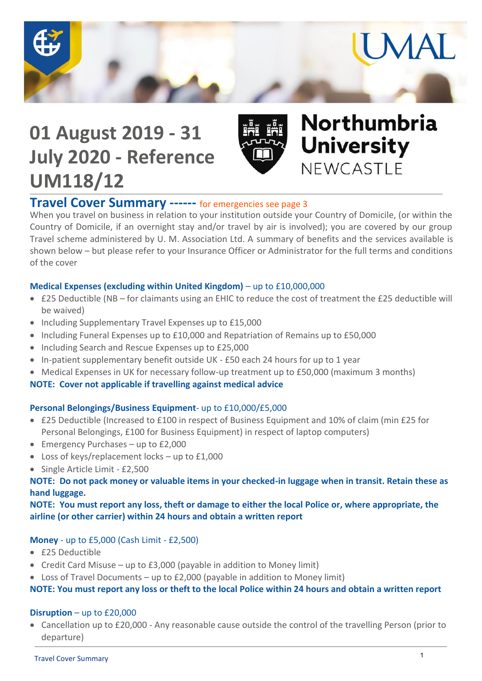

# **01 August 2019 - 31 July 2020 - Reference UM118/12**



# Northumbria **University** NEWCASTLE

## **Travel Cover Summary ------** for emergencies see page 3

When you travel on business in relation to your institution outside your Country of Domicile, (or within the Country of Domicile, if an overnight stay and/or travel by air is involved); you are covered by our group Travel scheme administered by U. M. Association Ltd. A summary of benefits and the services available is shown below – but please refer to your Insurance Officer or Administrator for the full terms and conditions of the cover

#### **Medical Expenses (excluding within United Kingdom)** – up to £10,000,000

- £25 Deductible (NB for claimants using an EHIC to reduce the cost of treatment the £25 deductible will be waived)
- Including Supplementary Travel Expenses up to £15,000
- Including Funeral Expenses up to £10,000 and Repatriation of Remains up to £50,000
- Including Search and Rescue Expenses up to £25,000
- In-patient supplementary benefit outside UK £50 each 24 hours for up to 1 year
- Medical Expenses in UK for necessary follow-up treatment up to £50,000 (maximum 3 months)

#### **NOTE: Cover not applicable if travelling against medical advice**

### **Personal Belongings/Business Equipment**- up to £10,000/£5,000

- £25 Deductible (Increased to £100 in respect of Business Equipment and 10% of claim (min £25 for Personal Belongings, £100 for Business Equipment) in respect of laptop computers)
- Emergency Purchases up to £2,000
- Loss of keys/replacement locks up to £1,000
- Single Article Limit £2,500

#### **NOTE: Do not pack money or valuable items in your checked-in luggage when in transit. Retain these as hand luggage.**

**NOTE: You must report any loss, theft or damage to either the local Police or, where appropriate, the airline (or other carrier) within 24 hours and obtain a written report**

### **Money** - up to £5,000 (Cash Limit - £2,500)

- £25 Deductible
- Credit Card Misuse up to  $£3,000$  (payable in addition to Money limit)
- Loss of Travel Documents up to £2,000 (payable in addition to Money limit)

#### **NOTE: You must report any loss or theft to the local Police within 24 hours and obtain a written report**

#### **Disruption** – up to £20,000

 Cancellation up to £20,000 - Any reasonable cause outside the control of the travelling Person (prior to departure)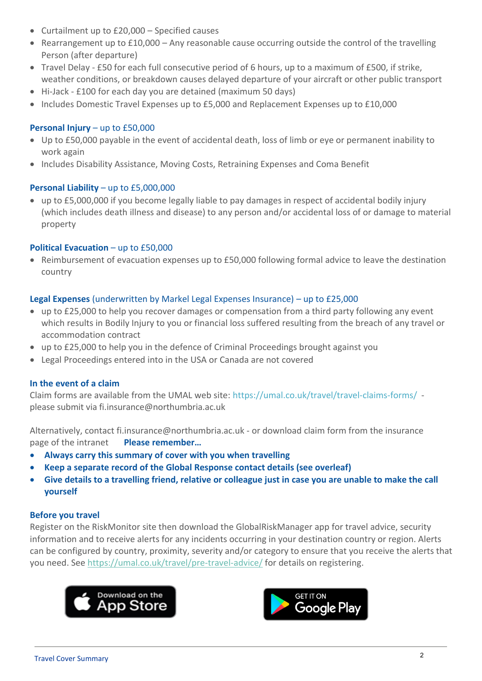- Curtailment up to £20,000 Specified causes
- $\bullet$  Rearrangement up to £10,000 Any reasonable cause occurring outside the control of the travelling Person (after departure)
- Travel Delay £50 for each full consecutive period of 6 hours, up to a maximum of £500, if strike, weather conditions, or breakdown causes delayed departure of your aircraft or other public transport
- Hi-Jack £100 for each day you are detained (maximum 50 days)
- Includes Domestic Travel Expenses up to £5,000 and Replacement Expenses up to £10,000

#### **Personal Injury** – up to £50,000

- Up to £50,000 payable in the event of accidental death, loss of limb or eye or permanent inability to work again
- Includes Disability Assistance, Moving Costs, Retraining Expenses and Coma Benefit

#### **Personal Liability** – up to £5,000,000

 up to £5,000,000 if you become legally liable to pay damages in respect of accidental bodily injury (which includes death illness and disease) to any person and/or accidental loss of or damage to material property

#### **Political Evacuation** – up to £50,000

 Reimbursement of evacuation expenses up to £50,000 following formal advice to leave the destination country

#### **Legal Expenses** (underwritten by Markel Legal Expenses Insurance) – up to £25,000

- up to £25,000 to help you recover damages or compensation from a third party following any event which results in Bodily Injury to you or financial loss suffered resulting from the breach of any travel or accommodation contract
- up to £25,000 to help you in the defence of Criminal Proceedings brought against you
- Legal Proceedings entered into in the USA or Canada are not covered

#### **In the event of a claim**

Claim forms are available from the UMAL web site: https://umal.co.uk/travel/travel-claims-forms/ please submit via fi.insurance@northumbria.ac.uk

Alternatively, contact fi.insurance@northumbria.ac.uk - or download claim form from the insurance page of the intranet **Please remember…**

- **Always carry this summary of cover with you when travelling**
- **Keep a separate record of the Global Response contact details (see overleaf)**
- **Give details to a travelling friend, relative or colleague just in case you are unable to make the call yourself**

#### **Before you travel**

Register on the RiskMonitor site then download the GlobalRiskManager app for travel advice, security information and to receive alerts for any incidents occurring in your destination country or region. Alerts can be configured by country, proximity, severity and/or category to ensure that you receive the alerts that you need. See<https://umal.co.uk/travel/pre-travel-advice/> for details on registering.